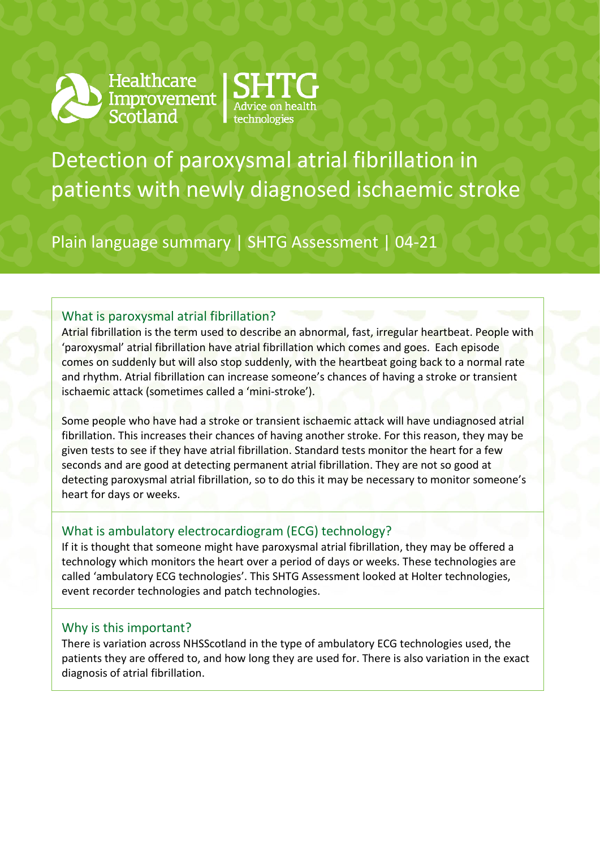

Healthcare<br>Improvement<br>Scotland



Detection of paroxysmal atrial fibrillation in patients with newly diagnosed ischaemic stroke

Plain language summary | SHTG Assessment | 04-21

# What is paroxysmal atrial fibrillation?

Atrial fibrillation is the term used to describe an abnormal, fast, irregular heartbeat. People with 'paroxysmal' atrial fibrillation have atrial fibrillation which comes and goes. Each episode comes on suddenly but will also stop suddenly, with the heartbeat going back to a normal rate and rhythm. Atrial fibrillation can increase someone's chances of having a stroke or transient ischaemic attack (sometimes called a 'mini-stroke').

Some people who have had a stroke or transient ischaemic attack will have undiagnosed atrial fibrillation. This increases their chances of having another stroke. For this reason, they may be given tests to see if they have atrial fibrillation. Standard tests monitor the heart for a few seconds and are good at detecting permanent atrial fibrillation. They are not so good at detecting paroxysmal atrial fibrillation, so to do this it may be necessary to monitor someone's heart for days or weeks.

## What is ambulatory electrocardiogram (ECG) technology?

If it is thought that someone might have paroxysmal atrial fibrillation, they may be offered a technology which monitors the heart over a period of days or weeks. These technologies are called 'ambulatory ECG technologies'. This SHTG Assessment looked at Holter technologies, event recorder technologies and patch technologies.

## Why is this important?

There is variation across NHSScotland in the type of ambulatory ECG technologies used, the patients they are offered to, and how long they are used for. There is also variation in the exact diagnosis of atrial fibrillation.